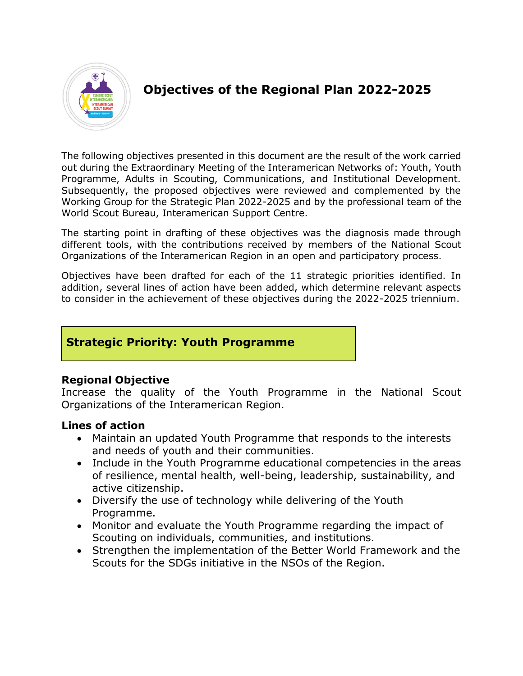

# **Objectives of the Regional Plan 2022-2025**

The following objectives presented in this document are the result of the work carried out during the Extraordinary Meeting of the Interamerican Networks of: Youth, Youth Programme, Adults in Scouting, Communications, and Institutional Development. Subsequently, the proposed objectives were reviewed and complemented by the Working Group for the Strategic Plan 2022-2025 and by the professional team of the World Scout Bureau, Interamerican Support Centre.

The starting point in drafting of these objectives was the diagnosis made through different tools, with the contributions received by members of the National Scout Organizations of the Interamerican Region in an open and participatory process.

Objectives have been drafted for each of the 11 strategic priorities identified. In addition, several lines of action have been added, which determine relevant aspects to consider in the achievement of these objectives during the 2022-2025 triennium.

# **Strategic Priority: Youth Programme**

## **Regional Objective**

Increase the quality of the Youth Programme in the National Scout Organizations of the Interamerican Region.

- Maintain an updated Youth Programme that responds to the interests and needs of youth and their communities.
- Include in the Youth Programme educational competencies in the areas of resilience, mental health, well-being, leadership, sustainability, and active citizenship.
- Diversify the use of technology while delivering of the Youth Programme.
- Monitor and evaluate the Youth Programme regarding the impact of Scouting on individuals, communities, and institutions.
- Strengthen the implementation of the Better World Framework and the Scouts for the SDGs initiative in the NSOs of the Region.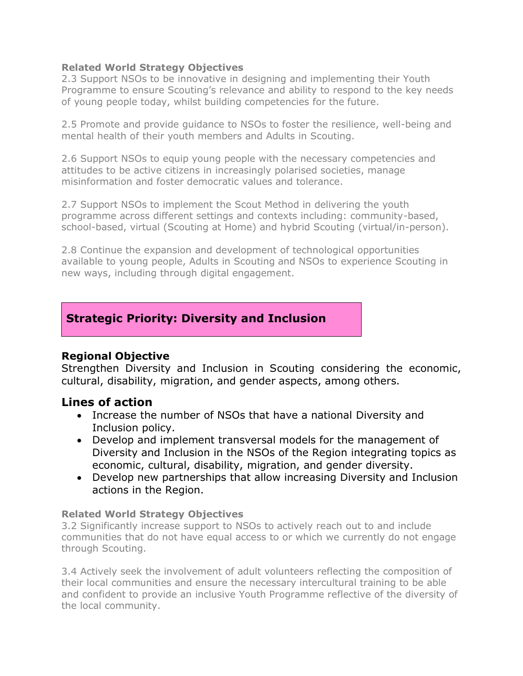#### **Related World Strategy Objectives**

2.3 Support NSOs to be innovative in designing and implementing their Youth Programme to ensure Scouting's relevance and ability to respond to the key needs of young people today, whilst building competencies for the future.

2.5 Promote and provide guidance to NSOs to foster the resilience, well-being and mental health of their youth members and Adults in Scouting.

2.6 Support NSOs to equip young people with the necessary competencies and attitudes to be active citizens in increasingly polarised societies, manage misinformation and foster democratic values and tolerance.

2.7 Support NSOs to implement the Scout Method in delivering the youth programme across different settings and contexts including: community-based, school-based, virtual (Scouting at Home) and hybrid Scouting (virtual/in-person).

2.8 Continue the expansion and development of technological opportunities available to young people, Adults in Scouting and NSOs to experience Scouting in new ways, including through digital engagement.

# **Strategic Priority: Diversity and Inclusion**

# **Regional Objective**

Strengthen Diversity and Inclusion in Scouting considering the economic, cultural, disability, migration, and gender aspects, among others.

# **Lines of action**

- Increase the number of NSOs that have a national Diversity and Inclusion policy.
- Develop and implement transversal models for the management of Diversity and Inclusion in the NSOs of the Region integrating topics as economic, cultural, disability, migration, and gender diversity.
- Develop new partnerships that allow increasing Diversity and Inclusion actions in the Region.

## **Related World Strategy Objectives**

3.2 Significantly increase support to NSOs to actively reach out to and include communities that do not have equal access to or which we currently do not engage through Scouting.

3.4 Actively seek the involvement of adult volunteers reflecting the composition of their local communities and ensure the necessary intercultural training to be able and confident to provide an inclusive Youth Programme reflective of the diversity of the local community.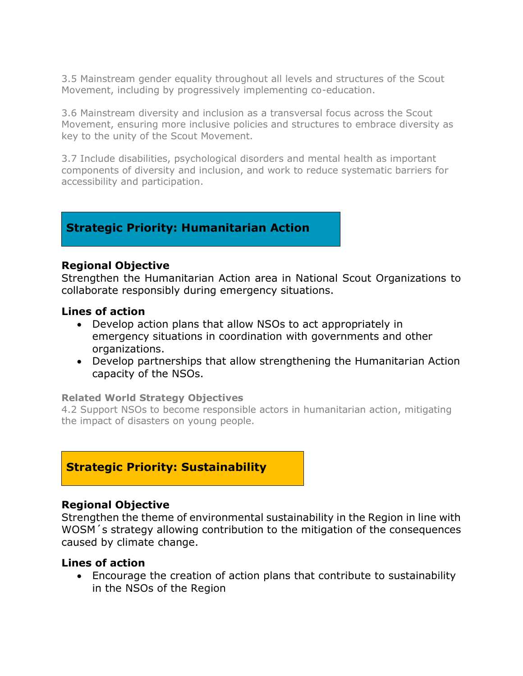3.5 Mainstream gender equality throughout all levels and structures of the Scout Movement, including by progressively implementing co-education.

3.6 Mainstream diversity and inclusion as a transversal focus across the Scout Movement, ensuring more inclusive policies and structures to embrace diversity as key to the unity of the Scout Movement.

3.7 Include disabilities, psychological disorders and mental health as important components of diversity and inclusion, and work to reduce systematic barriers for accessibility and participation.

# **Strategic Priority: Humanitarian Action**

#### **Regional Objective**

Strengthen the Humanitarian Action area in National Scout Organizations to collaborate responsibly during emergency situations.

## **Lines of action**

- Develop action plans that allow NSOs to act appropriately in emergency situations in coordination with governments and other organizations.
- Develop partnerships that allow strengthening the Humanitarian Action capacity of the NSOs.

#### **Related World Strategy Objectives**

4.2 Support NSOs to become responsible actors in humanitarian action, mitigating the impact of disasters on young people.

# **Strategic Priority: Sustainability**

#### **Regional Objective**

Strengthen the theme of environmental sustainability in the Region in line with WOSM´s strategy allowing contribution to the mitigation of the consequences caused by climate change.

#### **Lines of action**

• Encourage the creation of action plans that contribute to sustainability in the NSOs of the Region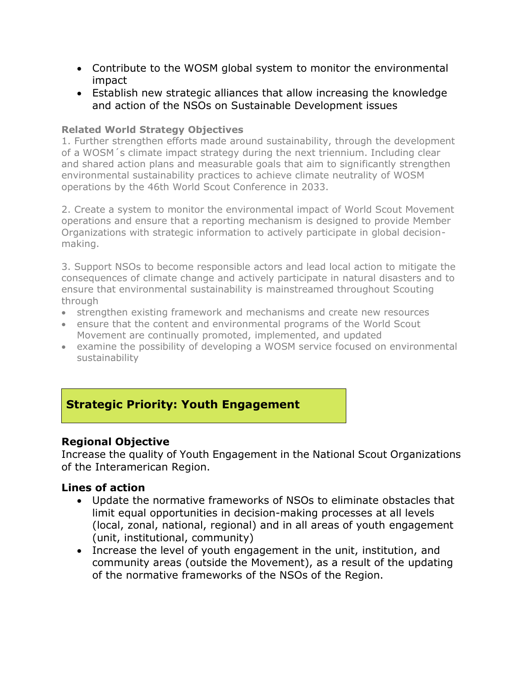- Contribute to the WOSM global system to monitor the environmental impact
- Establish new strategic alliances that allow increasing the knowledge and action of the NSOs on Sustainable Development issues

## **Related World Strategy Objectives**

1. Further strengthen efforts made around sustainability, through the development of a WOSM´s climate impact strategy during the next triennium. Including clear and shared action plans and measurable goals that aim to significantly strengthen environmental sustainability practices to achieve climate neutrality of WOSM operations by the 46th World Scout Conference in 2033.

2. Create a system to monitor the environmental impact of World Scout Movement operations and ensure that a reporting mechanism is designed to provide Member Organizations with strategic information to actively participate in global decisionmaking.

3. Support NSOs to become responsible actors and lead local action to mitigate the consequences of climate change and actively participate in natural disasters and to ensure that environmental sustainability is mainstreamed throughout Scouting through

- strengthen existing framework and mechanisms and create new resources
- ensure that the content and environmental programs of the World Scout Movement are continually promoted, implemented, and updated
- examine the possibility of developing a WOSM service focused on environmental sustainability

# **Strategic Priority: Youth Engagement**

# **Regional Objective**

Increase the quality of Youth Engagement in the National Scout Organizations of the Interamerican Region.

- Update the normative frameworks of NSOs to eliminate obstacles that limit equal opportunities in decision-making processes at all levels (local, zonal, national, regional) and in all areas of youth engagement (unit, institutional, community)
- Increase the level of youth engagement in the unit, institution, and community areas (outside the Movement), as a result of the updating of the normative frameworks of the NSOs of the Region.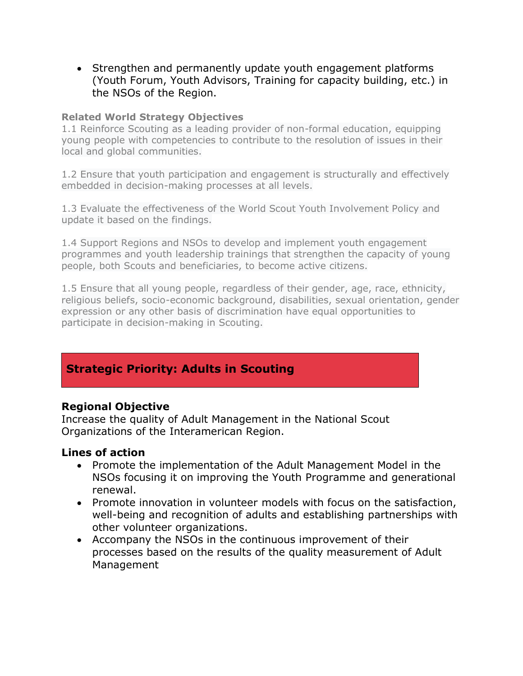• Strengthen and permanently update youth engagement platforms (Youth Forum, Youth Advisors, Training for capacity building, etc.) in the NSOs of the Region.

#### **Related World Strategy Objectives**

1.1 Reinforce Scouting as a leading provider of non-formal education, equipping young people with competencies to contribute to the resolution of issues in their local and global communities.

1.2 Ensure that youth participation and engagement is structurally and effectively embedded in decision-making processes at all levels.

1.3 Evaluate the effectiveness of the World Scout Youth Involvement Policy and update it based on the findings.

1.4 Support Regions and NSOs to develop and implement youth engagement programmes and youth leadership trainings that strengthen the capacity of young people, both Scouts and beneficiaries, to become active citizens.

1.5 Ensure that all young people, regardless of their gender, age, race, ethnicity, religious beliefs, socio-economic background, disabilities, sexual orientation, gender expression or any other basis of discrimination have equal opportunities to participate in decision-making in Scouting.

# **Strategic Priority: Adults in Scouting**

# **Regional Objective**

Increase the quality of Adult Management in the National Scout Organizations of the Interamerican Region.

- Promote the implementation of the Adult Management Model in the NSOs focusing it on improving the Youth Programme and generational renewal.
- Promote innovation in volunteer models with focus on the satisfaction, well-being and recognition of adults and establishing partnerships with other volunteer organizations.
- Accompany the NSOs in the continuous improvement of their processes based on the results of the quality measurement of Adult Management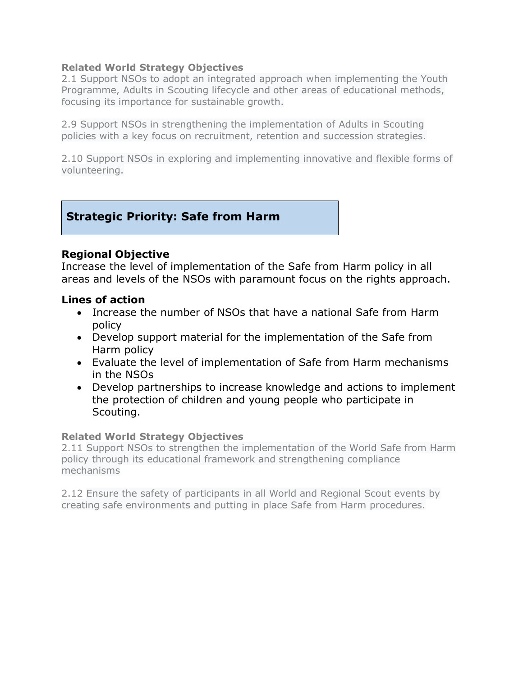#### **Related World Strategy Objectives**

2.1 Support NSOs to adopt an integrated approach when implementing the Youth Programme, Adults in Scouting lifecycle and other areas of educational methods, focusing its importance for sustainable growth.

2.9 Support NSOs in strengthening the implementation of Adults in Scouting policies with a key focus on recruitment, retention and succession strategies.

2.10 Support NSOs in exploring and implementing innovative and flexible forms of volunteering.

# **Strategic Priority: Safe from Harm**

### **Regional Objective**

Increase the level of implementation of the Safe from Harm policy in all areas and levels of the NSOs with paramount focus on the rights approach.

### **Lines of action**

- Increase the number of NSOs that have a national Safe from Harm policy
- Develop support material for the implementation of the Safe from Harm policy
- Evaluate the level of implementation of Safe from Harm mechanisms in the NSOs
- Develop partnerships to increase knowledge and actions to implement the protection of children and young people who participate in Scouting.

#### **Related World Strategy Objectives**

2.11 Support NSOs to strengthen the implementation of the World Safe from Harm policy through its educational framework and strengthening compliance mechanisms

2.12 Ensure the safety of participants in all World and Regional Scout events by creating safe environments and putting in place Safe from Harm procedures.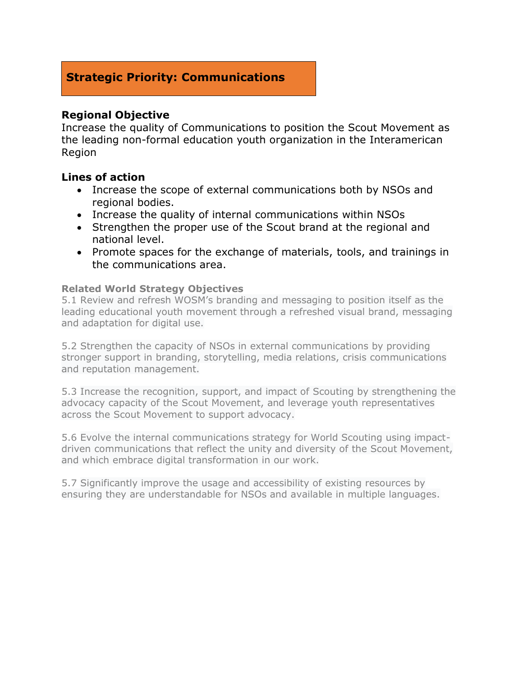# **Strategic Priority: Communications**

## **Regional Objective**

Increase the quality of Communications to position the Scout Movement as the leading non-formal education youth organization in the Interamerican Region

### **Lines of action**

- Increase the scope of external communications both by NSOs and regional bodies.
- Increase the quality of internal communications within NSOs
- Strengthen the proper use of the Scout brand at the regional and national level.
- Promote spaces for the exchange of materials, tools, and trainings in the communications area.

#### **Related World Strategy Objectives**

5.1 Review and refresh WOSM's branding and messaging to position itself as the leading educational youth movement through a refreshed visual brand, messaging and adaptation for digital use.

5.2 Strengthen the capacity of NSOs in external communications by providing stronger support in branding, storytelling, media relations, crisis communications and reputation management.

5.3 Increase the recognition, support, and impact of Scouting by strengthening the advocacy capacity of the Scout Movement, and leverage youth representatives across the Scout Movement to support advocacy.

5.6 Evolve the internal communications strategy for World Scouting using impactdriven communications that reflect the unity and diversity of the Scout Movement, and which embrace digital transformation in our work.

5.7 Significantly improve the usage and accessibility of existing resources by ensuring they are understandable for NSOs and available in multiple languages.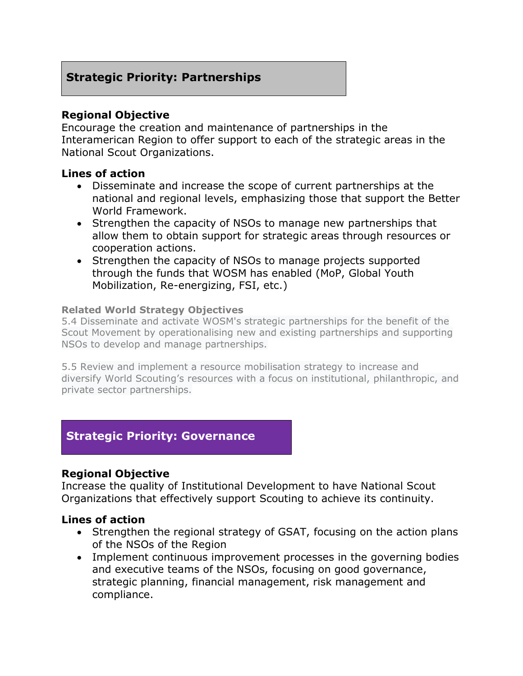# **Strategic Priority: Partnerships**

## **Regional Objective**

Encourage the creation and maintenance of partnerships in the Interamerican Region to offer support to each of the strategic areas in the National Scout Organizations.

## **Lines of action**

- Disseminate and increase the scope of current partnerships at the national and regional levels, emphasizing those that support the Better World Framework.
- Strengthen the capacity of NSOs to manage new partnerships that allow them to obtain support for strategic areas through resources or cooperation actions.
- Strengthen the capacity of NSOs to manage projects supported through the funds that WOSM has enabled (MoP, Global Youth Mobilization, Re-energizing, FSI, etc.)

#### **Related World Strategy Objectives**

5.4 Disseminate and activate WOSM's strategic partnerships for the benefit of the Scout Movement by operationalising new and existing partnerships and supporting NSOs to develop and manage partnerships.

5.5 Review and implement a resource mobilisation strategy to increase and diversify World Scouting's resources with a focus on institutional, philanthropic, and private sector partnerships.

# **Strategic Priority: Governance**

## **Regional Objective**

Increase the quality of Institutional Development to have National Scout Organizations that effectively support Scouting to achieve its continuity.

- Strengthen the regional strategy of GSAT, focusing on the action plans of the NSOs of the Region
- Implement continuous improvement processes in the governing bodies and executive teams of the NSOs, focusing on good governance, strategic planning, financial management, risk management and compliance.